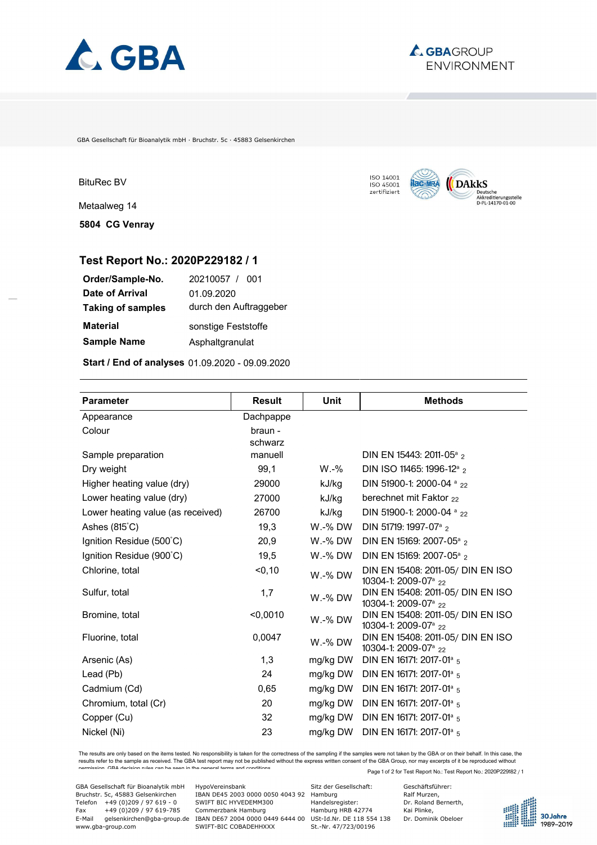



GBA Gesellschaft für Bioanalytik mbH · Bruchstr. 5c · 45883 Gelsenkirchen



Metaalweg 14

**5804 CG Venray**



## **Test Report No.: 2020P229182 / 1**

| 20210057 / 001         |
|------------------------|
| 01.09.2020             |
| durch den Auftraggeber |
| sonstige Feststoffe    |
| Asphaltgranulat        |
|                        |

**Start / End of analyses** 01.09.2020 - 09.09.2020

| <b>Parameter</b>                  | <b>Result</b>      | Unit     | <b>Methods</b>                                                        |
|-----------------------------------|--------------------|----------|-----------------------------------------------------------------------|
| Appearance                        | Dachpappe          |          |                                                                       |
| Colour                            | braun -<br>schwarz |          |                                                                       |
| Sample preparation                | manuell            |          | DIN EN 15443: 2011-05 <sup>a</sup> 2                                  |
| Dry weight                        | 99,1               | $W.-\%$  | DIN ISO 11465: 1996-12 <sup>a</sup> 2                                 |
| Higher heating value (dry)        | 29000              | kJ/kg    | DIN 51900-1: 2000-04 a 22                                             |
| Lower heating value (dry)         | 27000              | kJ/kg    | berechnet mit Faktor 22                                               |
| Lower heating value (as received) | 26700              | kJ/kg    | DIN 51900-1: 2000-04 a 22                                             |
| Ashes $(815^{\circ}C)$            | 19,3               | W.-% DW  | DIN 51719: 1997-07 <sup>a</sup> 2                                     |
| Ignition Residue (500°C)          | 20,9               | W.-% DW  | DIN EN 15169: 2007-05 <sup>a</sup> 2                                  |
| Ignition Residue (900°C)          | 19,5               | W.-% DW  | DIN EN 15169: 2007-05 <sup>a</sup> 2                                  |
| Chlorine, total                   | < 0, 10            | W.-% DW  | DIN EN 15408: 2011-05/ DIN EN ISO<br>10304-1: 2009-07 <sup>a</sup> 22 |
| Sulfur, total                     | 1,7                | W.-% DW  | DIN EN 15408: 2011-05/ DIN EN ISO<br>10304-1: 2009-07 <sup>a</sup> 22 |
| Bromine, total                    | < 0,0010           | W.-% DW  | DIN EN 15408: 2011-05/ DIN EN ISO<br>10304-1: 2009-07 <sup>a</sup> 22 |
| Fluorine, total                   | 0,0047             | W.-% DW  | DIN EN 15408: 2011-05/ DIN EN ISO<br>10304-1: 2009-07 <sup>a</sup> 22 |
| Arsenic (As)                      | 1,3                | mg/kg DW | DIN EN 16171: 2017-01 <sup>a</sup> 5                                  |
| Lead (Pb)                         | 24                 | mg/kg DW | DIN EN 16171: 2017-01 <sup>a</sup> 5                                  |
| Cadmium (Cd)                      | 0,65               | mg/kg DW | DIN EN 16171: 2017-01 <sup>a</sup> 5                                  |
| Chromium, total (Cr)              | 20                 | mg/kg DW | DIN EN 16171: 2017-01 <sup>a</sup> 5                                  |
| Copper (Cu)                       | 32                 | mg/kg DW | DIN EN 16171: 2017-01 <sup>a</sup> 5                                  |
| Nickel (Ni)                       | 23                 | mg/kg DW | DIN EN 16171: 2017-01 <sup>a</sup> 5                                  |

Page 1 of 2 for Test Report No.: Test Report No.: 2020P229182 / 1 The results are only based on the items tested. No responsibility is taken for the correctness of the sampling if the samples were not taken by the GBA or on their behalf. In this case, the<br>results refer to the sample as r permission. GBA decision rules can be seen in the general terms and conditions.

GBA Gesellschaft für Bioanalytik mbH HypoVereinsbank Sitz der Gesellschaft: Geschäftsführer:<br>
BBAN DE45 2003 0000 0050 4043 92 Hamburg Ralf Murzen, Ralf Murzen, Ralf Murzen, Sitz der Gesellschaft: Ralf Murzen, Handelsregis Telefon +49 (0)209 / 97 619 - 0 SWIFT BIC HYVEDEMM300 - Dr. Roland Fax +49 (0)209 / 97 619 - 0 SWIFT BIC HYVEDEMM300 - Telefon +49 (0)209 / 97 619 - 0 SWIFT BIC HYVEDEMM300 - Handelsregister: Dr. Roland Fax +49 (0)209 / 97 Fax +49 (0)209 / 97 619-785 Commerzbank Hamburg Hamburg HRB 42774 Kai Plinke, E-Mail gelsenkirchen@gba-group.de IBAN DE67 2004 0000 0449 6444 00 USt-Id.Nr. DE 118 554 138 Dr. Dominik Obeloer www.gba-group.com SWIFT-BIC COBADEHHXXX St.-Nr. 47/723/00196